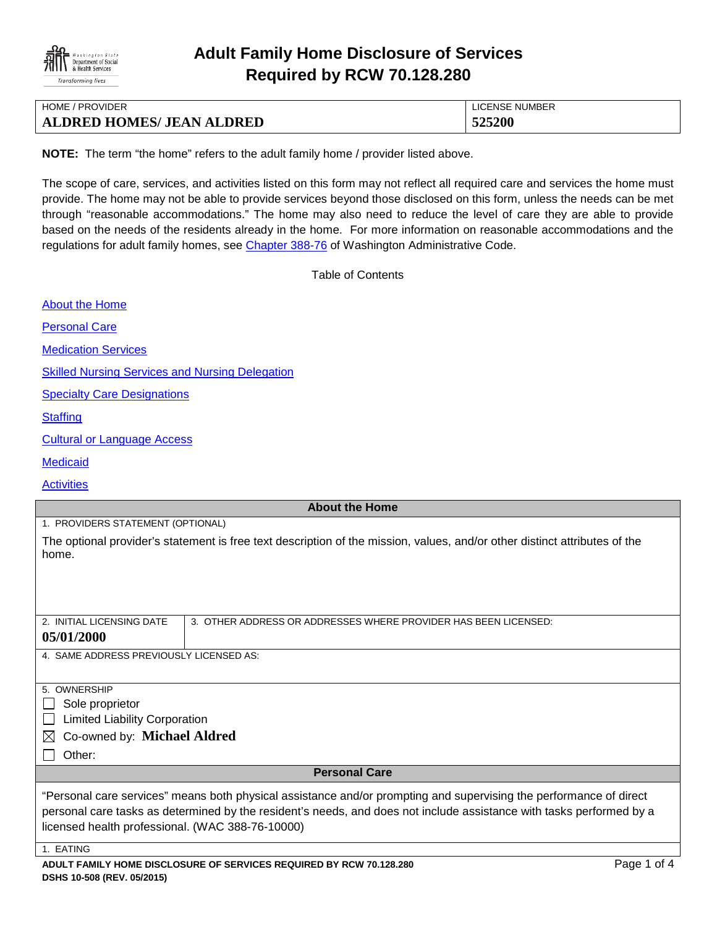

# **Adult Family Home Disclosure of Services Required by RCW 70.128.280**

| <b>HOME / PROVIDER</b>           | LICENSE NUMBER |
|----------------------------------|----------------|
| <b>ALDRED HOMES/ JEAN ALDRED</b> | 525200         |

**NOTE:** The term "the home" refers to the adult family home / provider listed above.

The scope of care, services, and activities listed on this form may not reflect all required care and services the home must provide. The home may not be able to provide services beyond those disclosed on this form, unless the needs can be met through "reasonable accommodations." The home may also need to reduce the level of care they are able to provide based on the needs of the residents already in the home. For more information on reasonable accommodations and the regulations for adult family homes, see [Chapter 388-76](http://apps.leg.wa.gov/WAC/default.aspx?cite=388-76) of Washington Administrative Code.

Table of Contents

[About the Home](#page-0-0)

[Personal Care](#page-0-1)

**[Medication Services](#page-1-0)** 

**[Skilled Nursing Services and Nursing Delegation](#page-1-1)** 

[Specialty Care Designations](#page-2-0)

**[Staffing](#page-2-1)** 

[Cultural or Language Access](#page-2-2)

**[Medicaid](#page-2-3)** 

**[Activities](#page-3-0)** 

#### <span id="page-0-0"></span>**About the Home**

1. PROVIDERS STATEMENT (OPTIONAL)

The optional provider's statement is free text description of the mission, values, and/or other distinct attributes of the home.

| 2. INITIAL LICENSING DATE               | 3. OTHER ADDRESS OR ADDRESSES WHERE PROVIDER HAS BEEN LICENSED: |
|-----------------------------------------|-----------------------------------------------------------------|
| 05/01/2000                              |                                                                 |
| 4. SAME ADDRESS PREVIOUSLY LICENSED AS: |                                                                 |

5. OWNERSHIP

 $\Box$  Sole proprietor

**Limited Liability Corporation** 

#### Co-owned by: **Michael Aldred**

 $\Box$  Other:

#### <span id="page-0-1"></span>**Personal Care**

"Personal care services" means both physical assistance and/or prompting and supervising the performance of direct personal care tasks as determined by the resident's needs, and does not include assistance with tasks performed by a licensed health professional. (WAC 388-76-10000)

1. EATING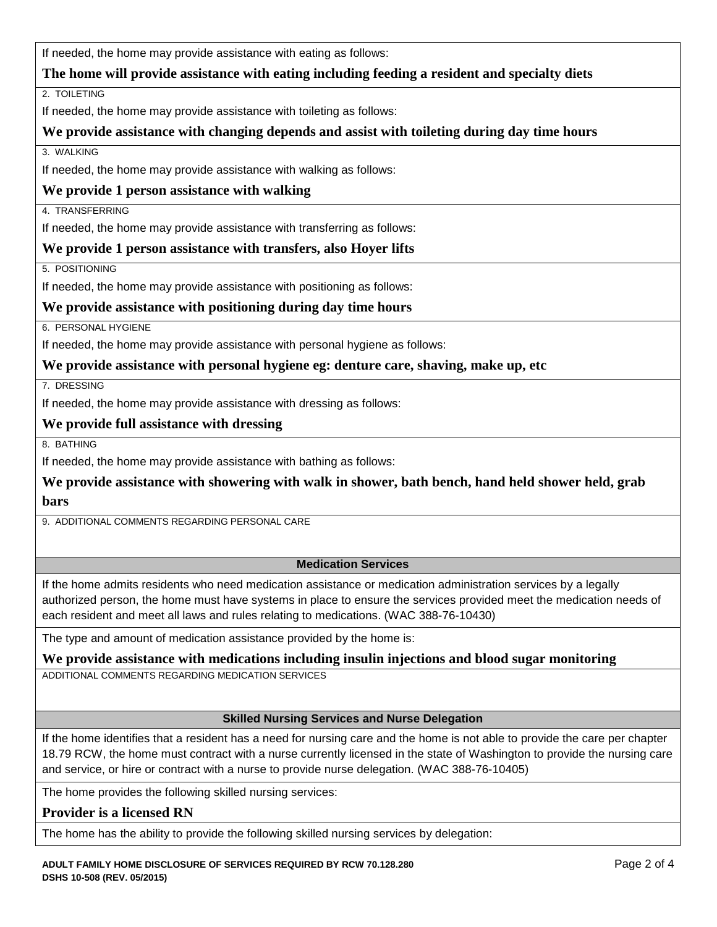If needed, the home may provide assistance with eating as follows:

## **The home will provide assistance with eating including feeding a resident and specialty diets**

2. TOILETING

If needed, the home may provide assistance with toileting as follows:

## **We provide assistance with changing depends and assist with toileting during day time hours**

3. WALKING

If needed, the home may provide assistance with walking as follows:

## **We provide 1 person assistance with walking**

4. TRANSFERRING

If needed, the home may provide assistance with transferring as follows:

## **We provide 1 person assistance with transfers, also Hoyer lifts**

5. POSITIONING

If needed, the home may provide assistance with positioning as follows:

#### **We provide assistance with positioning during day time hours**

6. PERSONAL HYGIENE

If needed, the home may provide assistance with personal hygiene as follows:

#### **We provide assistance with personal hygiene eg: denture care, shaving, make up, etc**

7. DRESSING

If needed, the home may provide assistance with dressing as follows:

#### **We provide full assistance with dressing**

8. BATHING

If needed, the home may provide assistance with bathing as follows:

**We provide assistance with showering with walk in shower, bath bench, hand held shower held, grab bars**

9. ADDITIONAL COMMENTS REGARDING PERSONAL CARE

#### <span id="page-1-1"></span><span id="page-1-0"></span>**Medication Services**

If the home admits residents who need medication assistance or medication administration services by a legally authorized person, the home must have systems in place to ensure the services provided meet the medication needs of each resident and meet all laws and rules relating to medications. (WAC 388-76-10430)

The type and amount of medication assistance provided by the home is:

#### **We provide assistance with medications including insulin injections and blood sugar monitoring**

ADDITIONAL COMMENTS REGARDING MEDICATION SERVICES

#### **Skilled Nursing Services and Nurse Delegation**

If the home identifies that a resident has a need for nursing care and the home is not able to provide the care per chapter 18.79 RCW, the home must contract with a nurse currently licensed in the state of Washington to provide the nursing care and service, or hire or contract with a nurse to provide nurse delegation. (WAC 388-76-10405)

The home provides the following skilled nursing services:

# **Provider is a licensed RN**

The home has the ability to provide the following skilled nursing services by delegation: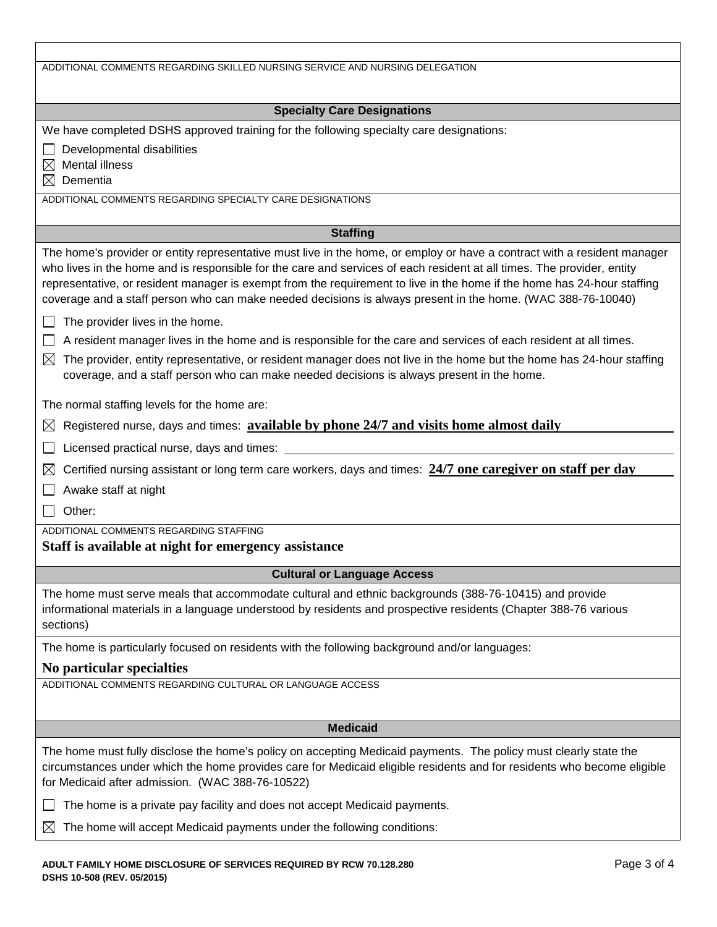<span id="page-2-3"></span><span id="page-2-2"></span><span id="page-2-1"></span><span id="page-2-0"></span>

| ADDITIONAL COMMENTS REGARDING SKILLED NURSING SERVICE AND NURSING DELEGATION                                                                                                                                                                                                                                                                                                                                                                                                                                                                                                                                                                                                                                                                                                                                                                                                                                                                                                                                                                     |  |
|--------------------------------------------------------------------------------------------------------------------------------------------------------------------------------------------------------------------------------------------------------------------------------------------------------------------------------------------------------------------------------------------------------------------------------------------------------------------------------------------------------------------------------------------------------------------------------------------------------------------------------------------------------------------------------------------------------------------------------------------------------------------------------------------------------------------------------------------------------------------------------------------------------------------------------------------------------------------------------------------------------------------------------------------------|--|
| <b>Specialty Care Designations</b>                                                                                                                                                                                                                                                                                                                                                                                                                                                                                                                                                                                                                                                                                                                                                                                                                                                                                                                                                                                                               |  |
| We have completed DSHS approved training for the following specialty care designations:<br>Developmental disabilities<br>Mental illness<br>⊠<br>Dementia<br>M<br>ADDITIONAL COMMENTS REGARDING SPECIALTY CARE DESIGNATIONS                                                                                                                                                                                                                                                                                                                                                                                                                                                                                                                                                                                                                                                                                                                                                                                                                       |  |
| <b>Staffing</b>                                                                                                                                                                                                                                                                                                                                                                                                                                                                                                                                                                                                                                                                                                                                                                                                                                                                                                                                                                                                                                  |  |
| The home's provider or entity representative must live in the home, or employ or have a contract with a resident manager<br>who lives in the home and is responsible for the care and services of each resident at all times. The provider, entity<br>representative, or resident manager is exempt from the requirement to live in the home if the home has 24-hour staffing<br>coverage and a staff person who can make needed decisions is always present in the home. (WAC 388-76-10040)<br>The provider lives in the home.<br>A resident manager lives in the home and is responsible for the care and services of each resident at all times.<br>The provider, entity representative, or resident manager does not live in the home but the home has 24-hour staffing<br>$\boxtimes$<br>coverage, and a staff person who can make needed decisions is always present in the home.<br>The normal staffing levels for the home are:<br>Registered nurse, days and times: available by phone 24/7 and visits home almost daily<br>$\boxtimes$ |  |
| Licensed practical nurse, days and times:                                                                                                                                                                                                                                                                                                                                                                                                                                                                                                                                                                                                                                                                                                                                                                                                                                                                                                                                                                                                        |  |
| Certified nursing assistant or long term care workers, days and times: 24/7 one caregiver on staff per day<br>$\boxtimes$<br>Awake staff at night<br>Other:<br>ADDITIONAL COMMENTS REGARDING STAFFING                                                                                                                                                                                                                                                                                                                                                                                                                                                                                                                                                                                                                                                                                                                                                                                                                                            |  |
| Staff is available at night for emergency assistance                                                                                                                                                                                                                                                                                                                                                                                                                                                                                                                                                                                                                                                                                                                                                                                                                                                                                                                                                                                             |  |
| <b>Cultural or Language Access</b>                                                                                                                                                                                                                                                                                                                                                                                                                                                                                                                                                                                                                                                                                                                                                                                                                                                                                                                                                                                                               |  |
| The home must serve meals that accommodate cultural and ethnic backgrounds (388-76-10415) and provide<br>informational materials in a language understood by residents and prospective residents (Chapter 388-76 various<br>sections)                                                                                                                                                                                                                                                                                                                                                                                                                                                                                                                                                                                                                                                                                                                                                                                                            |  |
| The home is particularly focused on residents with the following background and/or languages:                                                                                                                                                                                                                                                                                                                                                                                                                                                                                                                                                                                                                                                                                                                                                                                                                                                                                                                                                    |  |
| No particular specialties                                                                                                                                                                                                                                                                                                                                                                                                                                                                                                                                                                                                                                                                                                                                                                                                                                                                                                                                                                                                                        |  |
| ADDITIONAL COMMENTS REGARDING CULTURAL OR LANGUAGE ACCESS                                                                                                                                                                                                                                                                                                                                                                                                                                                                                                                                                                                                                                                                                                                                                                                                                                                                                                                                                                                        |  |
| <b>Medicaid</b>                                                                                                                                                                                                                                                                                                                                                                                                                                                                                                                                                                                                                                                                                                                                                                                                                                                                                                                                                                                                                                  |  |
| The home must fully disclose the home's policy on accepting Medicaid payments. The policy must clearly state the<br>circumstances under which the home provides care for Medicaid eligible residents and for residents who become eligible<br>for Medicaid after admission. (WAC 388-76-10522)                                                                                                                                                                                                                                                                                                                                                                                                                                                                                                                                                                                                                                                                                                                                                   |  |
| The home is a private pay facility and does not accept Medicaid payments.                                                                                                                                                                                                                                                                                                                                                                                                                                                                                                                                                                                                                                                                                                                                                                                                                                                                                                                                                                        |  |
| The home will accept Medicaid payments under the following conditions:<br>$\boxtimes$                                                                                                                                                                                                                                                                                                                                                                                                                                                                                                                                                                                                                                                                                                                                                                                                                                                                                                                                                            |  |